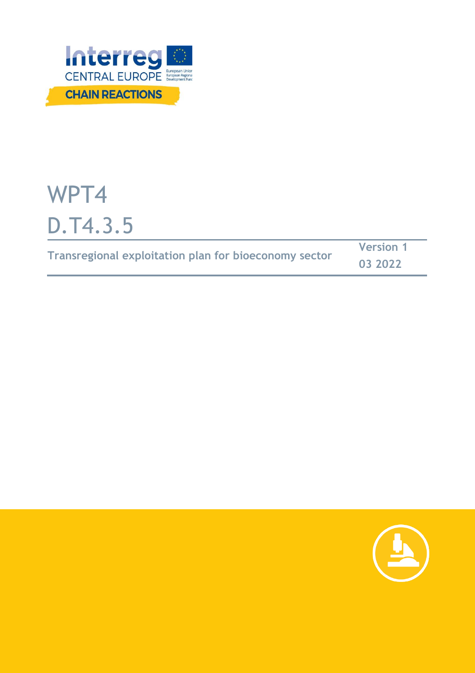

# WPT4 D.T4.3.5

|                                                       | <b>Version 1</b> |  |
|-------------------------------------------------------|------------------|--|
| Transregional exploitation plan for bioeconomy sector | 03 2022          |  |

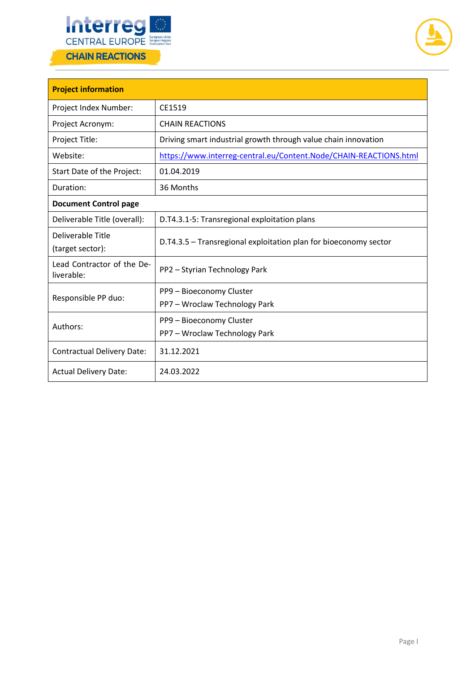



| <b>Project information</b>               |                                                                   |  |  |
|------------------------------------------|-------------------------------------------------------------------|--|--|
| Project Index Number:                    | CE1519                                                            |  |  |
| Project Acronym:                         | <b>CHAIN REACTIONS</b>                                            |  |  |
| Project Title:                           | Driving smart industrial growth through value chain innovation    |  |  |
| Website:                                 | https://www.interreg-central.eu/Content.Node/CHAIN-REACTIONS.html |  |  |
| Start Date of the Project:               | 01.04.2019                                                        |  |  |
| Duration:                                | 36 Months                                                         |  |  |
| <b>Document Control page</b>             |                                                                   |  |  |
| Deliverable Title (overall):             | D.T4.3.1-5: Transregional exploitation plans                      |  |  |
| Deliverable Title<br>(target sector):    | D.T4.3.5 - Transregional exploitation plan for bioeconomy sector  |  |  |
| Lead Contractor of the De-<br>liverable: | PP2 - Styrian Technology Park                                     |  |  |
| Responsible PP duo:                      | PP9 - Bioeconomy Cluster                                          |  |  |
|                                          | PP7 - Wroclaw Technology Park                                     |  |  |
| Authors:                                 | PP9 - Bioeconomy Cluster                                          |  |  |
|                                          | PP7 - Wroclaw Technology Park                                     |  |  |
| <b>Contractual Delivery Date:</b>        | 31.12.2021                                                        |  |  |
| <b>Actual Delivery Date:</b>             | 24.03.2022                                                        |  |  |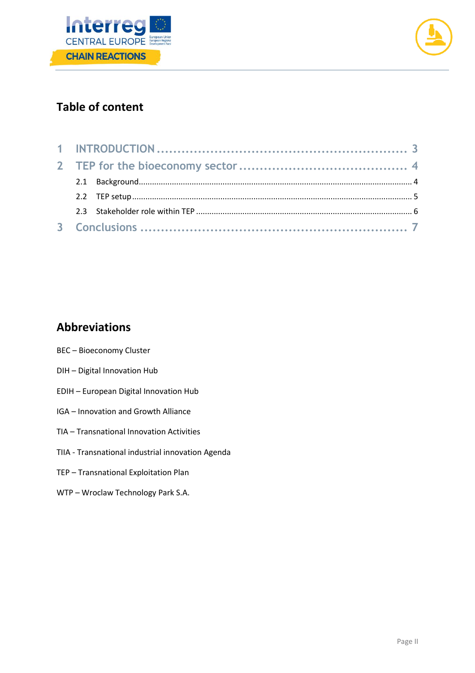



# **Table of content**

# **Abbreviations**

- BEC Bioeconomy Cluster
- DIH Digital Innovation Hub
- EDIH European Digital Innovation Hub
- IGA Innovation and Growth Alliance
- TIA Transnational Innovation Activities
- TIIA Transnational industrial innovation Agenda
- TEP Transnational Exploitation Plan
- WTP Wroclaw Technology Park S.A.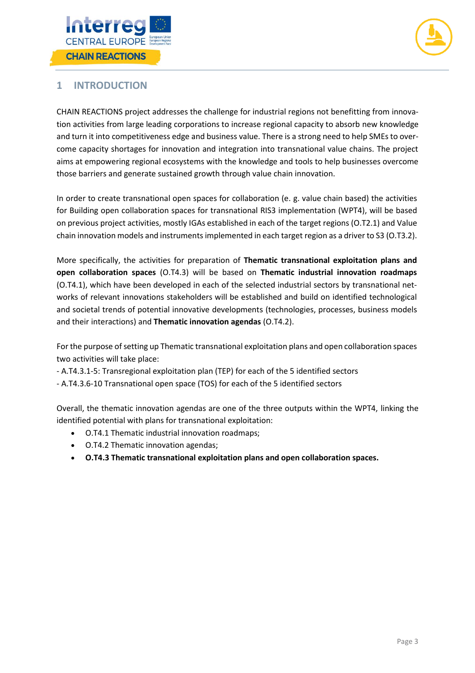



## <span id="page-3-0"></span>**1 INTRODUCTION**

CHAIN REACTIONS project addresses the challenge for industrial regions not benefitting from innovation activities from large leading corporations to increase regional capacity to absorb new knowledge and turn it into competitiveness edge and business value. There is a strong need to help SMEs to overcome capacity shortages for innovation and integration into transnational value chains. The project aims at empowering regional ecosystems with the knowledge and tools to help businesses overcome those barriers and generate sustained growth through value chain innovation.

In order to create transnational open spaces for collaboration (e. g. value chain based) the activities for Building open collaboration spaces for transnational RIS3 implementation (WPT4), will be based on previous project activities, mostly IGAs established in each of the target regions (O.T2.1) and Value chain innovation models and instruments implemented in each target region as a driver to S3 (O.T3.2).

More specifically, the activities for preparation of **Thematic transnational exploitation plans and open collaboration spaces** (O.T4.3) will be based on **Thematic industrial innovation roadmaps** (O.T4.1), which have been developed in each of the selected industrial sectors by transnational networks of relevant innovations stakeholders will be established and build on identified technological and societal trends of potential innovative developments (technologies, processes, business models and their interactions) and **Thematic innovation agendas** (O.T4.2).

For the purpose of setting up Thematic transnational exploitation plans and open collaboration spaces two activities will take place:

- A.T4.3.1-5: Transregional exploitation plan (TEP) for each of the 5 identified sectors
- A.T4.3.6-10 Transnational open space (TOS) for each of the 5 identified sectors

Overall, the thematic innovation agendas are one of the three outputs within the WPT4, linking the identified potential with plans for transnational exploitation:

- O.T4.1 Thematic industrial innovation roadmaps;
- O.T4.2 Thematic innovation agendas;
- **O.T4.3 Thematic transnational exploitation plans and open collaboration spaces.**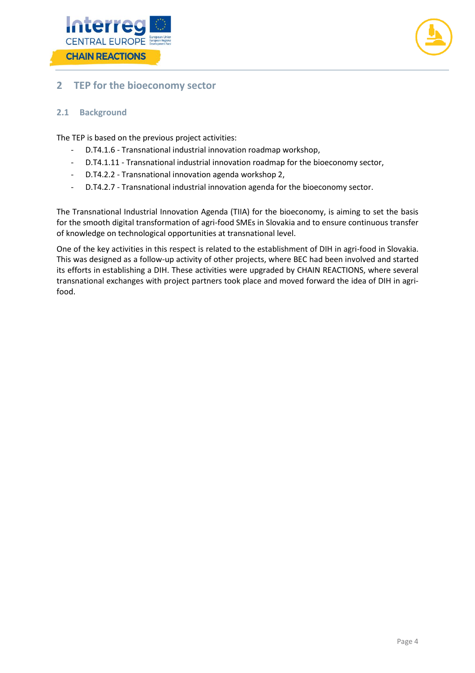



#### <span id="page-4-0"></span>**2 TEP for the bioeconomy sector**

#### <span id="page-4-1"></span>**2.1 Background**

The TEP is based on the previous project activities:

- D.T4.1.6 Transnational industrial innovation roadmap workshop,
- D.T4.1.11 Transnational industrial innovation roadmap for the bioeconomy sector,
- D.T4.2.2 Transnational innovation agenda workshop 2,
- D.T4.2.7 Transnational industrial innovation agenda for the bioeconomy sector.

The Transnational Industrial Innovation Agenda (TIIA) for the bioeconomy, is aiming to set the basis for the smooth digital transformation of agri-food SMEs in Slovakia and to ensure continuous transfer of knowledge on technological opportunities at transnational level.

One of the key activities in this respect is related to the establishment of DIH in agri-food in Slovakia. This was designed as a follow-up activity of other projects, where BEC had been involved and started its efforts in establishing a DIH. These activities were upgraded by CHAIN REACTIONS, where several transnational exchanges with project partners took place and moved forward the idea of DIH in agrifood.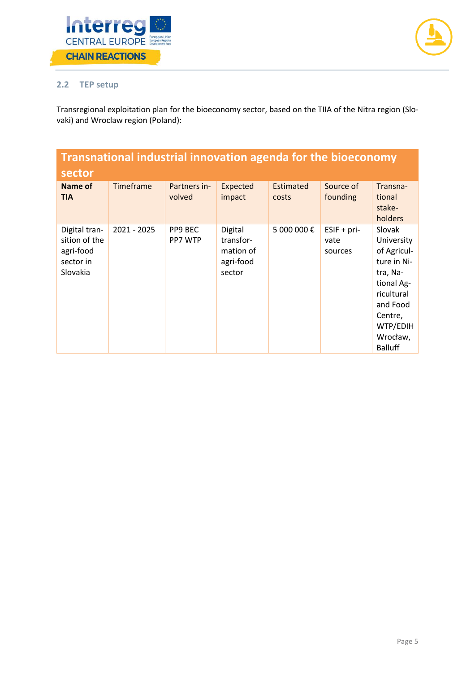



## <span id="page-5-0"></span>**2.2 TEP setup**

Transregional exploitation plan for the bioeconomy sector, based on the TIIA of the Nitra region (Slovaki) and Wroclaw region (Poland):

| Transnational industrial innovation agenda for the bioeconomy<br>sector |             |                        |                                                          |                           |                                  |                                                                                                                                                             |
|-------------------------------------------------------------------------|-------------|------------------------|----------------------------------------------------------|---------------------------|----------------------------------|-------------------------------------------------------------------------------------------------------------------------------------------------------------|
| <b>Name of</b><br><b>TIA</b>                                            | Timeframe   | Partners in-<br>volved | Expected<br>impact                                       | <b>Estimated</b><br>costs | Source of<br>founding            | Transna-<br>tional<br>stake-<br>holders                                                                                                                     |
| Digital tran-<br>sition of the<br>agri-food<br>sector in<br>Slovakia    | 2021 - 2025 | PP9 BEC<br>PP7 WTP     | Digital<br>transfor-<br>mation of<br>agri-food<br>sector | 5 000 000€                | $ESIF + pri-$<br>vate<br>sources | Slovak<br>University<br>of Agricul-<br>ture in Ni-<br>tra, Na-<br>tional Ag-<br>ricultural<br>and Food<br>Centre,<br>WTP/EDIH<br>Wrocław,<br><b>Balluff</b> |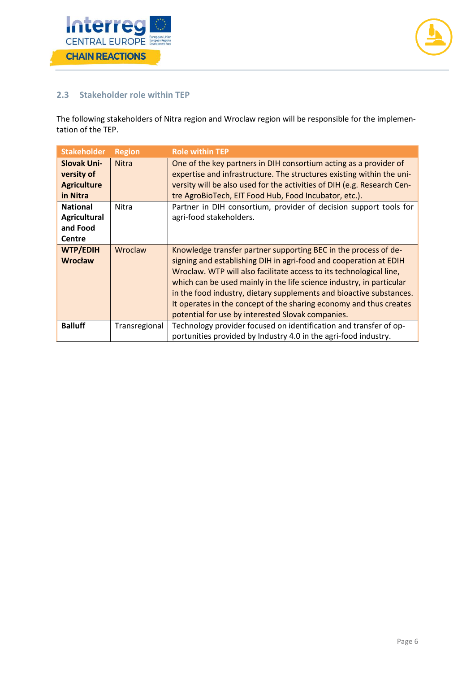



#### <span id="page-6-0"></span>**2.3 Stakeholder role within TEP**

The following stakeholders of Nitra region and Wroclaw region will be responsible for the implementation of the TEP.

| <b>Stakeholder</b>                                                  | <b>Region</b> | <b>Role within TEP</b>                                                                                                                                                                                                                                                                                                                                                                                                                                                                |
|---------------------------------------------------------------------|---------------|---------------------------------------------------------------------------------------------------------------------------------------------------------------------------------------------------------------------------------------------------------------------------------------------------------------------------------------------------------------------------------------------------------------------------------------------------------------------------------------|
| <b>Slovak Uni-</b><br>versity of<br><b>Agriculture</b><br>in Nitra  | <b>Nitra</b>  | One of the key partners in DIH consortium acting as a provider of<br>expertise and infrastructure. The structures existing within the uni-<br>versity will be also used for the activities of DIH (e.g. Research Cen-<br>tre AgroBioTech, EIT Food Hub, Food Incubator, etc.).                                                                                                                                                                                                        |
| <b>National</b><br><b>Agricultural</b><br>and Food<br><b>Centre</b> | Nitra         | Partner in DIH consortium, provider of decision support tools for<br>agri-food stakeholders.                                                                                                                                                                                                                                                                                                                                                                                          |
| <b>WTP/EDIH</b><br><b>Wrocław</b>                                   | Wroclaw       | Knowledge transfer partner supporting BEC in the process of de-<br>signing and establishing DIH in agri-food and cooperation at EDIH<br>Wroclaw. WTP will also facilitate access to its technological line,<br>which can be used mainly in the life science industry, in particular<br>in the food industry, dietary supplements and bioactive substances.<br>It operates in the concept of the sharing economy and thus creates<br>potential for use by interested Slovak companies. |
| <b>Balluff</b>                                                      | Transregional | Technology provider focused on identification and transfer of op-<br>portunities provided by Industry 4.0 in the agri-food industry.                                                                                                                                                                                                                                                                                                                                                  |